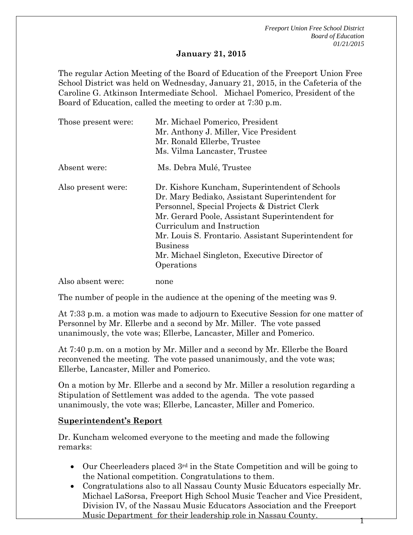#### **January 21, 2015**

The regular Action Meeting of the Board of Education of the Freeport Union Free School District was held on Wednesday, January 21, 2015, in the Cafeteria of the Caroline G. Atkinson Intermediate School. Michael Pomerico, President of the Board of Education, called the meeting to order at 7:30 p.m.

| Those present were: | Mr. Michael Pomerico, President<br>Mr. Anthony J. Miller, Vice President<br>Mr. Ronald Ellerbe, Trustee<br>Ms. Vilma Lancaster, Trustee                                                                                                                                                                                                                                   |
|---------------------|---------------------------------------------------------------------------------------------------------------------------------------------------------------------------------------------------------------------------------------------------------------------------------------------------------------------------------------------------------------------------|
| Absent were:        | Ms. Debra Mulé, Trustee                                                                                                                                                                                                                                                                                                                                                   |
| Also present were:  | Dr. Kishore Kuncham, Superintendent of Schools<br>Dr. Mary Bediako, Assistant Superintendent for<br>Personnel, Special Projects & District Clerk<br>Mr. Gerard Poole, Assistant Superintendent for<br>Curriculum and Instruction<br>Mr. Louis S. Frontario. Assistant Superintendent for<br><b>Business</b><br>Mr. Michael Singleton, Executive Director of<br>Operations |
| Also absent were:   | none                                                                                                                                                                                                                                                                                                                                                                      |

The number of people in the audience at the opening of the meeting was 9.

At 7:33 p.m. a motion was made to adjourn to Executive Session for one matter of Personnel by Mr. Ellerbe and a second by Mr. Miller. The vote passed unanimously, the vote was; Ellerbe, Lancaster, Miller and Pomerico.

At 7:40 p.m. on a motion by Mr. Miller and a second by Mr. Ellerbe the Board reconvened the meeting. The vote passed unanimously, and the vote was; Ellerbe, Lancaster, Miller and Pomerico.

On a motion by Mr. Ellerbe and a second by Mr. Miller a resolution regarding a Stipulation of Settlement was added to the agenda. The vote passed unanimously, the vote was; Ellerbe, Lancaster, Miller and Pomerico.

#### **Superintendent's Report**

Dr. Kuncham welcomed everyone to the meeting and made the following remarks:

- Our Cheerleaders placed 3<sup>rd</sup> in the State Competition and will be going to the National competition. Congratulations to them.
- Congratulations also to all Nassau County Music Educators especially Mr. Michael LaSorsa, Freeport High School Music Teacher and Vice President, Division IV, of the Nassau Music Educators Association and the Freeport Music Department for their leadership role in Nassau County.  $1$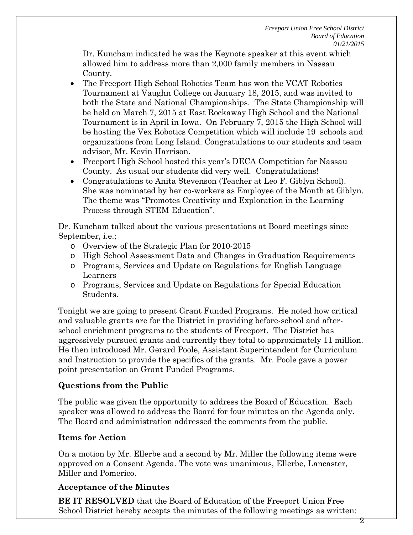Dr. Kuncham indicated he was the Keynote speaker at this event which allowed him to address more than 2,000 family members in Nassau County.

- The Freeport High School Robotics Team has won the VCAT Robotics Tournament at Vaughn College on January 18, 2015, and was invited to both the State and National Championships. The State Championship will be held on March 7, 2015 at East Rockaway High School and the National Tournament is in April in Iowa. On February 7, 2015 the High School will be hosting the Vex Robotics Competition which will include 19 schools and organizations from Long Island. Congratulations to our students and team advisor, Mr. Kevin Harrison.
- Freeport High School hosted this year's DECA Competition for Nassau County. As usual our students did very well. Congratulations!
- Congratulations to Anita Stevenson (Teacher at Leo F. Giblyn School). She was nominated by her co-workers as Employee of the Month at Giblyn. The theme was "Promotes Creativity and Exploration in the Learning Process through STEM Education".

Dr. Kuncham talked about the various presentations at Board meetings since September, i.e.;

- o Overview of the Strategic Plan for 2010-2015
- o High School Assessment Data and Changes in Graduation Requirements
- o Programs, Services and Update on Regulations for English Language Learners
- o Programs, Services and Update on Regulations for Special Education Students.

Tonight we are going to present Grant Funded Programs. He noted how critical and valuable grants are for the District in providing before-school and afterschool enrichment programs to the students of Freeport. The District has aggressively pursued grants and currently they total to approximately 11 million. He then introduced Mr. Gerard Poole, Assistant Superintendent for Curriculum and Instruction to provide the specifics of the grants. Mr. Poole gave a power point presentation on Grant Funded Programs.

# **Questions from the Public**

The public was given the opportunity to address the Board of Education. Each speaker was allowed to address the Board for four minutes on the Agenda only. The Board and administration addressed the comments from the public.

## **Items for Action**

On a motion by Mr. Ellerbe and a second by Mr. Miller the following items were approved on a Consent Agenda. The vote was unanimous, Ellerbe, Lancaster, Miller and Pomerico.

## **Acceptance of the Minutes**

**BE IT RESOLVED** that the Board of Education of the Freeport Union Free School District hereby accepts the minutes of the following meetings as written: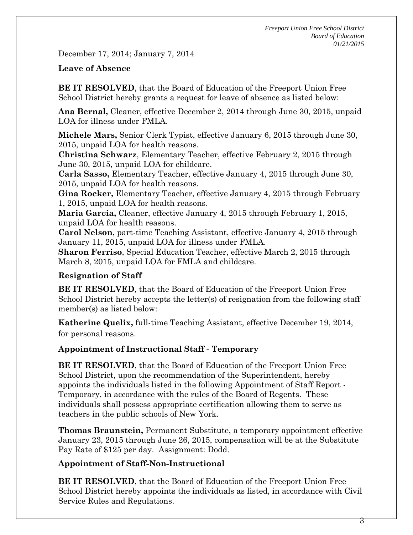December 17, 2014; January 7, 2014

#### **Leave of Absence**

**BE IT RESOLVED**, that the Board of Education of the Freeport Union Free School District hereby grants a request for leave of absence as listed below:

**Ana Bernal,** Cleaner, effective December 2, 2014 through June 30, 2015, unpaid LOA for illness under FMLA.

**Michele Mars,** Senior Clerk Typist, effective January 6, 2015 through June 30, 2015, unpaid LOA for health reasons.

**Christina Schwarz**, Elementary Teacher, effective February 2, 2015 through June 30, 2015, unpaid LOA for childcare.

**Carla Sasso,** Elementary Teacher, effective January 4, 2015 through June 30, 2015, unpaid LOA for health reasons.

**Gina Rocker,** Elementary Teacher, effective January 4, 2015 through February 1, 2015, unpaid LOA for health reasons.

**Maria Garcia,** Cleaner, effective January 4, 2015 through February 1, 2015, unpaid LOA for health reasons.

**Carol Nelson**, part-time Teaching Assistant, effective January 4, 2015 through January 11, 2015, unpaid LOA for illness under FMLA.

**Sharon Ferriso**, Special Education Teacher, effective March 2, 2015 through March 8, 2015, unpaid LOA for FMLA and childcare.

### **Resignation of Staff**

**BE IT RESOLVED**, that the Board of Education of the Freeport Union Free School District hereby accepts the letter(s) of resignation from the following staff member(s) as listed below:

**Katherine Quelix,** full-time Teaching Assistant, effective December 19, 2014, for personal reasons.

### **Appointment of Instructional Staff - Temporary**

**BE IT RESOLVED**, that the Board of Education of the Freeport Union Free School District, upon the recommendation of the Superintendent, hereby appoints the individuals listed in the following Appointment of Staff Report - Temporary, in accordance with the rules of the Board of Regents. These individuals shall possess appropriate certification allowing them to serve as teachers in the public schools of New York.

**Thomas Braunstein,** Permanent Substitute, a temporary appointment effective January 23, 2015 through June 26, 2015, compensation will be at the Substitute Pay Rate of \$125 per day. Assignment: Dodd.

### **Appointment of Staff-Non-Instructional**

**BE IT RESOLVED**, that the Board of Education of the Freeport Union Free School District hereby appoints the individuals as listed, in accordance with Civil Service Rules and Regulations.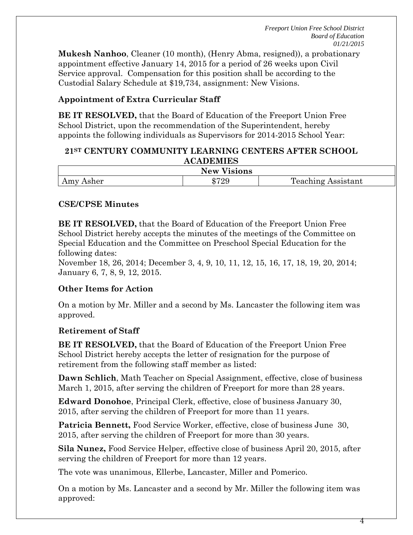4

**Mukesh Nanhoo**, Cleaner (10 month), (Henry Abma, resigned)), a probationary appointment effective January 14, 2015 for a period of 26 weeks upon Civil Service approval. Compensation for this position shall be according to the Custodial Salary Schedule at \$19,734, assignment: New Visions.

## **Appointment of Extra Curricular Staff**

**BE IT RESOLVED,** that the Board of Education of the Freeport Union Free School District, upon the recommendation of the Superintendent, hereby appoints the following individuals as Supervisors for 2014-2015 School Year:

#### **21ST CENTURY COMMUNITY LEARNING CENTERS AFTER SCHOOL ACADEMIES**

| ---<br>isions<br>New                         |                            |                                                                       |  |  |
|----------------------------------------------|----------------------------|-----------------------------------------------------------------------|--|--|
| mv<br>Asher<br>$\overline{1}$ $\overline{1}$ | 050C<br>еD<br><u>ت ہے۔</u> | m<br>$1n\sigma$<br>'each<br>ำท'<br>sistant<br>$ 4$ CHIIII<br><b>.</b> |  |  |

### **CSE/CPSE Minutes**

**BE IT RESOLVED,** that the Board of Education of the Freeport Union Free School District hereby accepts the minutes of the meetings of the Committee on Special Education and the Committee on Preschool Special Education for the following dates:

November 18, 26, 2014; December 3, 4, 9, 10, 11, 12, 15, 16, 17, 18, 19, 20, 2014; January 6, 7, 8, 9, 12, 2015.

### **Other Items for Action**

On a motion by Mr. Miller and a second by Ms. Lancaster the following item was approved.

### **Retirement of Staff**

**BE IT RESOLVED,** that the Board of Education of the Freeport Union Free School District hereby accepts the letter of resignation for the purpose of retirement from the following staff member as listed:

**Dawn Schlich**, Math Teacher on Special Assignment, effective, close of business March 1, 2015, after serving the children of Freeport for more than 28 years.

**Edward Donohoe**, Principal Clerk, effective, close of business January 30, 2015, after serving the children of Freeport for more than 11 years.

**Patricia Bennett,** Food Service Worker, effective, close of business June 30, 2015, after serving the children of Freeport for more than 30 years.

**Sila Nunez,** Food Service Helper, effective close of business April 20, 2015, after serving the children of Freeport for more than 12 years.

The vote was unanimous, Ellerbe, Lancaster, Miller and Pomerico.

On a motion by Ms. Lancaster and a second by Mr. Miller the following item was approved: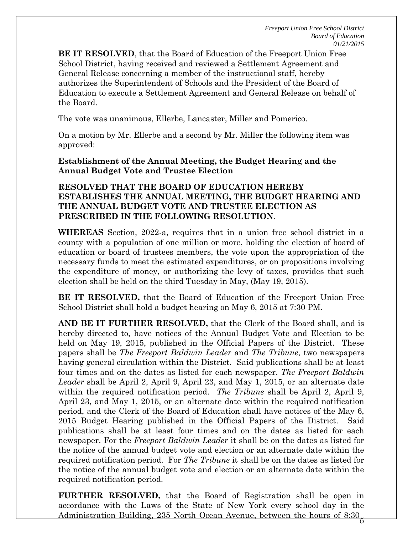**BE IT RESOLVED**, that the Board of Education of the Freeport Union Free School District, having received and reviewed a Settlement Agreement and General Release concerning a member of the instructional staff, hereby authorizes the Superintendent of Schools and the President of the Board of Education to execute a Settlement Agreement and General Release on behalf of the Board.

The vote was unanimous, Ellerbe, Lancaster, Miller and Pomerico.

On a motion by Mr. Ellerbe and a second by Mr. Miller the following item was approved:

### **Establishment of the Annual Meeting, the Budget Hearing and the Annual Budget Vote and Trustee Election**

#### **RESOLVED THAT THE BOARD OF EDUCATION HEREBY ESTABLISHES THE ANNUAL MEETING, THE BUDGET HEARING AND THE ANNUAL BUDGET VOTE AND TRUSTEE ELECTION AS PRESCRIBED IN THE FOLLOWING RESOLUTION**.

**WHEREAS** Section, 2022-a, requires that in a union free school district in a county with a population of one million or more, holding the election of board of education or board of trustees members, the vote upon the appropriation of the necessary funds to meet the estimated expenditures, or on propositions involving the expenditure of money, or authorizing the levy of taxes, provides that such election shall be held on the third Tuesday in May, (May 19, 2015).

**BE IT RESOLVED,** that the Board of Education of the Freeport Union Free School District shall hold a budget hearing on May 6, 2015 at 7:30 PM.

**AND BE IT FURTHER RESOLVED,** that the Clerk of the Board shall, and is hereby directed to, have notices of the Annual Budget Vote and Election to be held on May 19, 2015, published in the Official Papers of the District. These papers shall be *The Freeport Baldwin Leader* and *The Tribune*, two newspapers having general circulation within the District. Said publications shall be at least four times and on the dates as listed for each newspaper. *The Freeport Baldwin Leader* shall be April 2, April 9, April 23, and May 1, 2015, or an alternate date within the required notification period. *The Tribune* shall be April 2, April 9, April 23, and May 1, 2015, or an alternate date within the required notification period, and the Clerk of the Board of Education shall have notices of the May 6, 2015 Budget Hearing published in the Official Papers of the District. Said publications shall be at least four times and on the dates as listed for each newspaper. For the *Freeport Baldwin Leader* it shall be on the dates as listed for the notice of the annual budget vote and election or an alternate date within the required notification period. For *The Tribune* it shall be on the dates as listed for the notice of the annual budget vote and election or an alternate date within the required notification period.

**FURTHER RESOLVED,** that the Board of Registration shall be open in accordance with the Laws of the State of New York every school day in the Administration Building, 235 North Ocean Avenue, between the hours of 8:30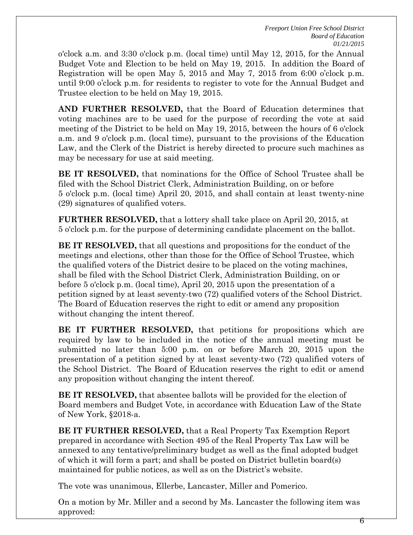o'clock a.m. and 3:30 o'clock p.m. (local time) until May 12, 2015, for the Annual Budget Vote and Election to be held on May 19, 2015. In addition the Board of Registration will be open May 5, 2015 and May 7, 2015 from 6:00 o'clock p.m. until 9:00 o'clock p.m. for residents to register to vote for the Annual Budget and Trustee election to be held on May 19, 2015.

**AND FURTHER RESOLVED,** that the Board of Education determines that voting machines are to be used for the purpose of recording the vote at said meeting of the District to be held on May 19, 2015, between the hours of 6 o'clock a.m. and 9 o'clock p.m. (local time), pursuant to the provisions of the Education Law, and the Clerk of the District is hereby directed to procure such machines as may be necessary for use at said meeting.

**BE IT RESOLVED,** that nominations for the Office of School Trustee shall be filed with the School District Clerk, Administration Building, on or before 5 o'clock p.m. (local time) April 20, 2015, and shall contain at least twenty-nine (29) signatures of qualified voters.

**FURTHER RESOLVED,** that a lottery shall take place on April 20, 2015, at 5 o'clock p.m. for the purpose of determining candidate placement on the ballot.

**BE IT RESOLVED,** that all questions and propositions for the conduct of the meetings and elections, other than those for the Office of School Trustee, which the qualified voters of the District desire to be placed on the voting machines, shall be filed with the School District Clerk, Administration Building, on or before 5 o'clock p.m. (local time), April 20, 2015 upon the presentation of a petition signed by at least seventy-two (72) qualified voters of the School District. The Board of Education reserves the right to edit or amend any proposition without changing the intent thereof.

**BE IT FURTHER RESOLVED,** that petitions for propositions which are required by law to be included in the notice of the annual meeting must be submitted no later than 5:00 p.m. on or before March 20, 2015 upon the presentation of a petition signed by at least seventy-two (72) qualified voters of the School District. The Board of Education reserves the right to edit or amend any proposition without changing the intent thereof.

**BE IT RESOLVED,** that absentee ballots will be provided for the election of Board members and Budget Vote, in accordance with Education Law of the State of New York, §2018-a.

**BE IT FURTHER RESOLVED,** that a Real Property Tax Exemption Report prepared in accordance with Section 495 of the Real Property Tax Law will be annexed to any tentative/preliminary budget as well as the final adopted budget of which it will form a part; and shall be posted on District bulletin board(s) maintained for public notices, as well as on the District's website.

The vote was unanimous, Ellerbe, Lancaster, Miller and Pomerico.

On a motion by Mr. Miller and a second by Ms. Lancaster the following item was approved: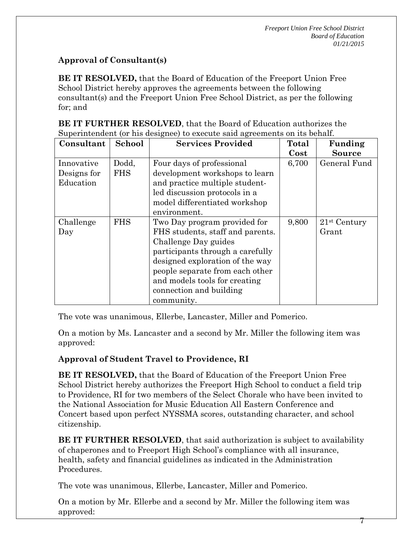7

## **Approval of Consultant(s)**

**BE IT RESOLVED,** that the Board of Education of the Freeport Union Free School District hereby approves the agreements between the following consultant(s) and the Freeport Union Free School District, as per the following for; and

| BE IT FURTHER RESOLVED, that the Board of Education authorizes the         |  |
|----------------------------------------------------------------------------|--|
| Superintendent (or his designee) to execute said agreements on its behalf. |  |

| Consultant  | School     | <b>Services Provided</b>         | Total    | Funding        |
|-------------|------------|----------------------------------|----------|----------------|
|             |            |                                  | $\cos t$ | <b>Source</b>  |
| Innovative  | Dodd,      | Four days of professional        | 6,700    | General Fund   |
| Designs for | <b>FHS</b> | development workshops to learn   |          |                |
| Education   |            | and practice multiple student-   |          |                |
|             |            | led discussion protocols in a    |          |                |
|             |            | model differentiated workshop    |          |                |
|             |            | environment.                     |          |                |
| Challenge   | <b>FHS</b> | Two Day program provided for     | 9,800    | $21st$ Century |
| Day         |            | FHS students, staff and parents. |          | Grant          |
|             |            | Challenge Day guides             |          |                |
|             |            | participants through a carefully |          |                |
|             |            | designed exploration of the way  |          |                |
|             |            | people separate from each other  |          |                |
|             |            | and models tools for creating    |          |                |
|             |            | connection and building          |          |                |
|             |            | community.                       |          |                |

The vote was unanimous, Ellerbe, Lancaster, Miller and Pomerico.

On a motion by Ms. Lancaster and a second by Mr. Miller the following item was approved:

## **Approval of Student Travel to Providence, RI**

**BE IT RESOLVED,** that the Board of Education of the Freeport Union Free School District hereby authorizes the Freeport High School to conduct a field trip to Providence, RI for two members of the Select Chorale who have been invited to the National Association for Music Education All Eastern Conference and Concert based upon perfect NYSSMA scores, outstanding character, and school citizenship.

**BE IT FURTHER RESOLVED**, that said authorization is subject to availability of chaperones and to Freeport High School's compliance with all insurance, health, safety and financial guidelines as indicated in the Administration Procedures.

The vote was unanimous, Ellerbe, Lancaster, Miller and Pomerico.

On a motion by Mr. Ellerbe and a second by Mr. Miller the following item was approved: